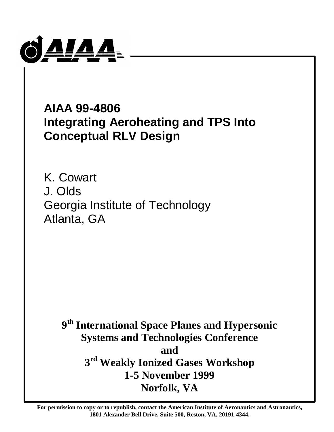

**AIAA 99-4806 Integrating Aeroheating and TPS Into Conceptual RLV Design**

K. Cowart J. Olds Georgia Institute of Technology Atlanta, GA

> **9 th International Space Planes and Hypersonic Systems and Technologies Conference and 3 rd Weakly Ionized Gases Workshop 1-5 November 1999 Norfolk, VA**

**For permission to copy or to republish, contact the American Institute of Aeronautics and Astronautics, 1801 Alexander Bell Drive, Suite 500, Reston, VA, 20191-4344.**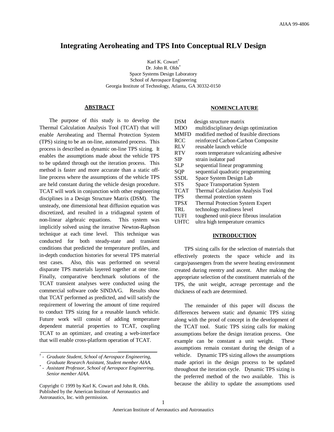# **Integrating Aeroheating and TPS Into Conceptual RLV Design**

Karl K. Cowart<sup>†</sup> Dr. John R. Olds<sup>\*</sup> Space Systems Design Laboratory School of Aerospace Engineering Georgia Institute of Technology, Atlanta, GA 30332-0150

## **ABSTRACT**

The purpose of this study is to develop the Thermal Calculation Analysis Tool (TCAT) that will enable Aeroheating and Thermal Protection System (TPS) sizing to be an on-line, automated process. This process is described as dynamic on-line TPS sizing. It enables the assumptions made about the vehicle TPS to be updated through out the iteration process. This method is faster and more accurate than a static offline process where the assumptions of the vehicle TPS are held constant during the vehicle design procedure. TCAT will work in conjunction with other engineering disciplines in a Design Structure Matrix (DSM). The unsteady, one dimensional heat diffusion equation was discretized, and resulted in a tridiagonal system of non-linear algebraic equations. This system was implicitly solved using the iterative Newton-Raphson technique at each time level. This technique was conducted for both steady-state and transient conditions that predicted the temperature profiles, and in-depth conduction histories for several TPS material test cases. Also, this was performed on several disparate TPS materials layered together at one time. Finally, comparative benchmark solutions of the TCAT transient analyses were conducted using the commercial software code SINDA/G. Results show that TCAT performed as predicted, and will satisfy the requirement of lowering the amount of time required to conduct TPS sizing for a reusable launch vehicle. Future work will consist of adding temperature dependent material properties to TCAT, coupling TCAT to an optimizer, and creating a web-interface that will enable cross-platform operation of TCAT.

 $\mathcal{L}_\text{max}$  and  $\mathcal{L}_\text{max}$  are the set of the set of the set of the set of the set of the set of the set of the set of the set of the set of the set of the set of the set of the set of the set of the set of the set o

#### **NOMENCLATURE**

| <b>DSM</b>  | design structure matrix                 |
|-------------|-----------------------------------------|
| <b>MDO</b>  | multidisciplinary design optimization   |
| <b>MMFD</b> | modified method of feasible directions  |
| <b>RCC</b>  | reinforced Carbon-Carbon Composite      |
| <b>RLV</b>  | reusable launch vehicle                 |
| <b>RTV</b>  | room temperature vulcanizing adhesive   |
| <b>SIP</b>  | strain isolator pad                     |
| <b>SLP</b>  | sequential linear programming           |
| SQP         | sequential quadratic programming        |
| <b>SSDL</b> | Space System Design Lab                 |
| <b>STS</b>  | <b>Space Transportation System</b>      |
| <b>TCAT</b> | Thermal Calculation Analysis Tool       |
| <b>TPS</b>  | thermal protection system               |
| <b>TPSX</b> | <b>Thermal Protection System Expert</b> |
| TRL         | technology readiness level              |
| <b>TUFI</b> | toughened unit-piece fibrous insulation |
| UHTC        | ultra high temperature ceramics         |

#### **INTRODUCTION**

TPS sizing calls for the selection of materials that effectively protects the space vehicle and its cargo/passengers from the severe heating environment created during reentry and ascent. After making the appropriate selection of the constituent materials of the TPS, the unit weight, acreage percentage and the thickness of each are determined.

The remainder of this paper will discuss the differences between static and dynamic TPS sizing along with the proof of concept in the development of the TCAT tool. Static TPS sizing calls for making assumptions before the design iteration process. One example can be constant a unit weight. These assumptions remain constant during the design of a vehicle. Dynamic TPS sizing allows the assumptions made apriori in the design process to be updated throughout the iteration cycle. Dynamic TPS sizing is the preferred method of the two available. This is because the ability to update the assumptions used

*<sup>†</sup> - Graduate Student, School of Aerospace Engineering, Graduate Research Assistant, Student member AIAA.*

*<sup>\*</sup> - Assistant Professor, School of Aerospace Engineering, Senior member AIAA.*

Copyright © 1999 by Karl K. Cowart and John R. Olds. Published by the American Institute of Aeronautics and Astronautics, Inc. with permission.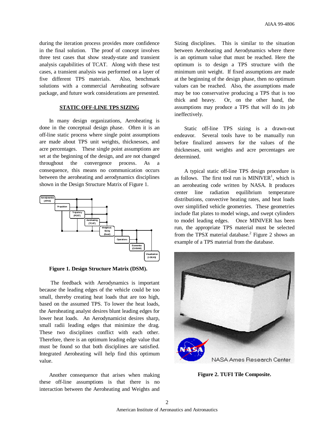during the iteration process provides more confidence in the final solution. The proof of concept involves three test cases that show steady-state and transient analysis capabilities of TCAT. Along with these test cases, a transient analysis was performed on a layer of five different TPS materials. Also, benchmark solutions with a commercial Aeroheating software package, and future work considerations are presented.

# **STATIC OFF-LINE TPS SIZING**

In many design organizations, Aeroheating is done in the conceptual design phase. Often it is an off-line static process where single point assumptions are made about TPS unit weights, thicknesses, and acre percentages. These single point assumptions are set at the beginning of the design, and are not changed throughout the convergence process. As a consequence, this means no communication occurs between the aeroheating and aerodynamics disciplines shown in the Design Structure Matrix of Figure 1.



**Figure 1. Design Structure Matrix (DSM).**

 The feedback with Aerodynamics is important because the leading edges of the vehicle could be too small, thereby creating heat loads that are too high, based on the assumed TPS. To lower the heat loads, the Aeroheating analyst desires blunt leading edges for lower heat loads. An Aerodynamicist desires sharp, small radii leading edges that minimize the drag. These two disciplines conflict with each other. Therefore, there is an optimum leading edge value that must be found so that both disciplines are satisfied. Integrated Aeroheating will help find this optimum value.

Another consequence that arises when making these off-line assumptions is that there is no interaction between the Aeroheating and Weights and

Sizing disciplines. This is similar to the situation between Aeroheating and Aerodynamics where there is an optimum value that must be reached. Here the optimum is to design a TPS structure with the minimum unit weight. If fixed assumptions are made at the beginning of the design phase, then no optimum values can be reached. Also, the assumptions made may be too conservative producing a TPS that is too thick and heavy. Or, on the other hand, the assumptions may produce a TPS that will do its job ineffectively.

Static off-line TPS sizing is a drawn-out endeavor. Several tools have to be manually run before finalized answers for the values of the thicknesses, unit weights and acre percentages are determined.

A typical static off-line TPS design procedure is as follows. The first tool run is  $MINIVER<sup>1</sup>$ , which is an aeroheating code written by NASA. It produces center line radiation equilibrium temperature distributions, convective heating rates, and heat loads over simplified vehicle geometries. These geometries include flat plates to model wings, and swept cylinders to model leading edges. Once MINIVER has been run, the appropriate TPS material must be selected from the TPSX material database.<sup>2</sup> Figure 2 shows an example of a TPS material from the database.



**Figure 2. TUFI Tile Composite.**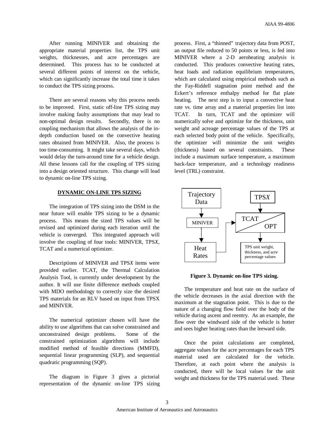After running MINIVER and obtaining the appropriate material properties list, the TPS unit weights, thicknesses, and acre percentages are determined. This process has to be conducted at several different points of interest on the vehicle, which can significantly increase the total time it takes to conduct the TPS sizing process.

There are several reasons why this process needs to be improved. First, static off-line TPS sizing may involve making faulty assumptions that may lead to non-optimal design results. Secondly, there is no coupling mechanism that allows the analysis of the indepth conduction based on the convective heating rates obtained from MINIVER. Also, the process is too time-consuming. It might take several days, which would delay the turn-around time for a vehicle design. All these lessons call for the coupling of TPS sizing into a design oriented structure. This change will lead to dynamic on-line TPS sizing.

# **DYNAMIC ON-LINE TPS SIZING**

The integration of TPS sizing into the DSM in the near future will enable TPS sizing to be a dynamic process. This means the sized TPS values will be revised and optimized during each iteration until the vehicle is converged. This integrated approach will involve the coupling of four tools: MINIVER, TPS*X*, TCAT and a numerical optimizer.

Descriptions of MINIVER and TPS*X* items were provided earlier. TCAT, the Thermal Calculation Analysis Tool, is currently under development by the author. It will use finite difference methods coupled with MDO methodology to correctly size the desired TPS materials for an RLV based on input from TPSX and MINIVER.

The numerical optimizer chosen will have the ability to use algorithms that can solve constrained and unconstrained design problems. Some of the constrained optimization algorithms will include modified method of feasible directions (MMFD), sequential linear programming (SLP), and sequential quadratic programming (SQP).

The diagram in Figure 3 gives a pictorial representation of the dynamic on-line TPS sizing

process. First, a "thinned" trajectory data from POST, an output file reduced to 50 points or less, is fed into MINIVER where a 2-D aeroheating analysis is conducted. This produces convective heating rates, heat loads and radiation equilibrium temperatures, which are calculated using empirical methods such as the Fay-Riddell stagnation point method and the Eckert's reference enthalpy method for flat plate heating. The next step is to input a convective heat rate vs. time array and a material properties list into TCAT. In turn, TCAT and the optimizer will numerically solve and optimize for the thickness, unit weight and acreage percentage values of the TPS at each selected body point of the vehicle. Specifically, the optimizer will minimize the unit weights (thickness) based on several constraints. These include a maximum surface temperature, a maximum back-face temperature, and a technology readiness level (TRL) constraint.



**Figure 3. Dynamic on-line TPS sizing.**

The temperature and heat rate on the surface of the vehicle decreases in the axial direction with the maximum at the stagnation point. This is due to the nature of a changing flow field over the body of the vehicle during ascent and reentry. As an example, the flow over the windward side of the vehicle is hotter and sees higher heating rates than the leeward side.

Once the point calculations are completed, aggregate values for the acre percentages for each TPS material used are calculated for the vehicle. Therefore, at each point where the analysis is conducted, there will be local values for the unit weight and thickness for the TPS material used. These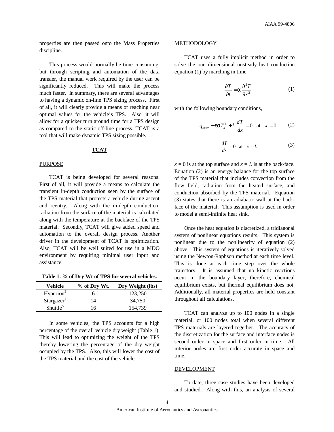properties are then passed onto the Mass Properties discipline.

This process would normally be time consuming, but through scripting and automation of the data transfer, the manual work required by the user can be significantly reduced. This will make the process much faster. In summary, there are several advantages to having a dynamic on-line TPS sizing process. First of all, it will clearly provide a means of reaching near optimal values for the vehicle's TPS. Also, it will allow for a quicker turn around time for a TPS design as compared to the static off-line process. TCAT is a tool that will make dynamic TPS sizing possible.

# **TCAT**

#### PURPOSE

TCAT is being developed for several reasons. First of all, it will provide a means to calculate the transient in-depth conduction seen by the surface of the TPS material that protects a vehicle during ascent and reentry. Along with the in-depth conduction, radiation from the surface of the material is calculated along with the temperature at the backface of the TPS material. Secondly, TCAT will give added speed and automation to the overall design process. Another driver in the development of TCAT is optimization. Also, TCAT will be well suited for use in a MDO environment by requiring minimal user input and assistance.

**Table 1. % of Dry Wt of TPS for several vehicles.**

| Vehicle                | % of Dry Wt. | Dry Weight (lbs) |
|------------------------|--------------|------------------|
| Hyperion <sup>3</sup>  | n            | 123,250          |
| Stargazer <sup>4</sup> | 14           | 34.750           |
| Shuttle <sup>5</sup>   | 16           | 154,739          |

In some vehicles, the TPS accounts for a high percentage of the overall vehicle dry weight (Table 1). This will lead to optimizing the weight of the TPS thereby lowering the percentage of the dry weight occupied by the TPS. Also, this will lower the cost of the TPS material and the cost of the vehicle.

### METHODOLOGY

TCAT uses a fully implicit method in order to solve the one dimensional unsteady heat conduction equation (1) by marching in time

$$
\frac{\partial T}{\partial t} = \mathbf{a} \frac{\partial^2 T}{\partial x^2} \tag{1}
$$

with the following boundary conditions,

$$
q_{conv} - \mathbf{e}\mathbf{S}T_s^4 + k\frac{dT}{dx} = 0
$$
 at  $x = 0$  (2)

$$
\frac{dT}{dx} = 0 \quad \text{at} \quad x = L \tag{3}
$$

 $x = 0$  is at the top surface and  $x = L$  is at the back-face. Equation (2) is an energy balance for the top surface of the TPS material that includes convection from the flow field, radiation from the heated surface, and conduction absorbed by the TPS material. Equation (3) states that there is an adiabatic wall at the backface of the material. This assumption is used in order to model a semi-infinite heat sink.

Once the heat equation is discretized, a tridiagonal system of nonlinear equations results. This system is nonlinear due to the nonlinearity of equation (2) above. This system of equations is iteratively solved using the Newton-Raphson method at each time level. This is done at each time step over the whole trajectory. It is assumed that no kinetic reactions occur in the boundary layer; therefore, chemical equilibrium exists, but thermal equilibrium does not. Additionally, all material properties are held constant throughout all calculations.

TCAT can analyze up to 100 nodes in a single material, or 100 nodes total when several different TPS materials are layered together. The accuracy of the discretization for the surface and interface nodes is second order in space and first order in time. All interior nodes are first order accurate in space and time.

## DEVELOPMENT

To date, three case studies have been developed and studied. Along with this, an analysis of several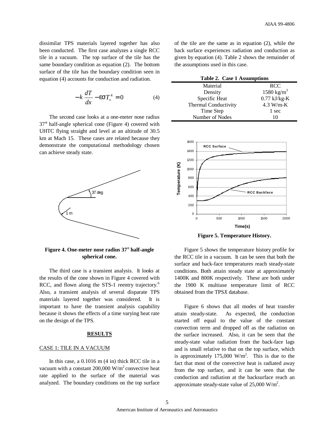dissimilar TPS materials layered together has also been conducted. The first case analyzes a single RCC tile in a vacuum. The top surface of the tile has the same boundary condition as equation (2). The bottom surface of the tile has the boundary condition seen in equation (4) accounts for conduction and radiation.

$$
-k\frac{dT}{dx} - \mathbf{e}\mathbf{S}T_s^4 = 0\tag{4}
$$

The second case looks at a one-meter nose radius 37° half-angle spherical cone (Figure 4) covered with UHTC flying straight and level at an altitude of 30.5 km at Mach 15. These cases are related because they demonstrate the computational methodology chosen can achieve steady state.



**Figure 4. One-meter nose radius 37° half-angle spherical cone.**

The third case is a transient analysis. It looks at the results of the cone shown in Figure 4 covered with RCC, and flown along the STS-1 reentry trajectory.<sup>6</sup> Also, a transient analysis of several disparate TPS materials layered together was considered. It is important to have the transient analysis capability because it shows the effects of a time varying heat rate on the design of the TPS.

## **RESULTS**

#### CASE 1: TILE IN A VACUUM

In this case, a 0.1016 m (4 in) thick RCC tile in a vacuum with a constant  $200,000$  W/m<sup>2</sup> convective heat rate applied to the surface of the material was analyzed. The boundary conditions on the top surface

of the tile are the same as in equation (2), while the back surface experiences radiation and conduction as given by equation (4). Table 2 shows the remainder of the assumptions used in this case.

| Table 2. Case 1 Assumptions |                        |  |
|-----------------------------|------------------------|--|
| Material                    | <b>RCC</b>             |  |
| Density                     | 1580 kg/m <sup>3</sup> |  |
| Specific Heat               | $0.77$ kJ/kg-K         |  |
| Thermal Conductivity        | $4.3 W/m-K$            |  |
| Time Step                   | 1 sec                  |  |
| Number of Nodes             | 10                     |  |



**Figure 5. Temperature History.**

Figure 5 shows the temperature history profile for the RCC tile in a vacuum. It can be seen that both the surface and back-face temperatures reach steady-state conditions. Both attain steady state at approximately 1400K and 800K respectively. These are both under the 1900 K multiuse temperature limit of RCC obtained from the TPS*X* database.

Figure 6 shows that all modes of heat transfer attain steady-state. As expected, the conduction started off equal to the value of the constant convection term and dropped off as the radiation on the surface increased. Also, it can be seen that the steady-state value radiation from the back-face lags and is small relative to that on the top surface, which is approximately 175,000 W/m<sup>2</sup>. This is due to the fact that most of the convective heat is radiated away from the top surface, and it can be seen that the conduction and radiation at the backsurface reach an approximate steady-state value of  $25,000$  W/m<sup>2</sup>.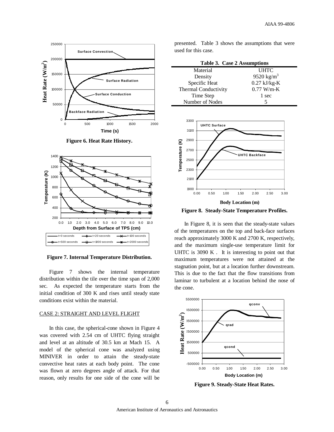

**Figure 6. Heat Rate History.**



**Figure 7. Internal Temperature Distribution.**

Figure 7 shows the internal temperature distribution within the tile over the time span of 2,000 sec. As expected the temperature starts from the initial condition of 300 K and rises until steady state conditions exist within the material.

#### CASE 2: STRAIGHT AND LEVEL FLIGHT

In this case, the spherical-cone shown in Figure 4 was covered with 2.54 cm of UHTC flying straight and level at an altitude of 30.5 km at Mach 15. A model of the spherical cone was analyzed using MINIVER in order to attain the steady-state convective heat rates at each body point. The cone was flown at zero degrees angle of attack. For that reason, only results for one side of the cone will be presented. Table 3 shows the assumptions that were used for this case.

| Table 3. Case 2 Assumptions |                        |  |
|-----------------------------|------------------------|--|
| Material                    | <b>UHTC</b>            |  |
| Density                     | 9520 kg/m <sup>3</sup> |  |
| Specific Heat               | $0.27$ kJ/kg-K         |  |
| Thermal Conductivity        | $0.77$ W/m-K           |  |
| Time Step                   | 1 sec                  |  |
| Number of Nodes             |                        |  |



**Figure 8. Steady-State Temperature Profiles.**

In Figure 8, it is seen that the steady-state values of the temperatures on the top and back-face surfaces reach approximately 3000 K and 2700 K, respectively, and the maximum single-use temperature limit for UHTC is 3090 K . It is interesting to point out that maximum temperatures were not attained at the stagnation point, but at a location further downstream. This is due to the fact that the flow transitions from laminar to turbulent at a location behind the nose of the cone.



**Figure 9. Steady-State Heat Rates.**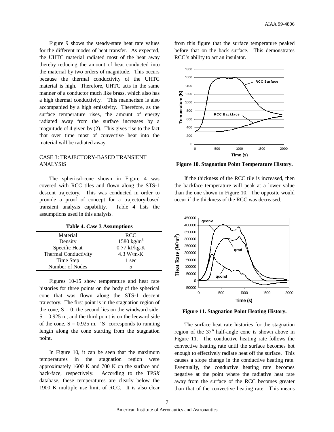Figure 9 shows the steady-state heat rate values for the different modes of heat transfer. As expected, the UHTC material radiated most of the heat away thereby reducing the amount of heat conducted into the material by two orders of magnitude. This occurs because the thermal conductivity of the UHTC material is high. Therefore, UHTC acts in the same manner of a conductor much like brass, which also has a high thermal conductivity. This mannerism is also accompanied by a high emissivity. Therefore, as the surface temperature rises, the amount of energy radiated away from the surface increases by a magnitude of 4 given by (2). This gives rise to the fact that over time most of convective heat into the material will be radiated away.

# CASE 3: TRAJECTORY-BASED TRANSIENT **ANALYSIS**

The spherical-cone shown in Figure 4 was covered with RCC tiles and flown along the STS-1 descent trajectory. This was conducted in order to provide a proof of concept for a trajectory-based transient analysis capability. Table 4 lists the assumptions used in this analysis.

**Table 4. Case 3 Assumptions**

| Material             | <b>RCC</b>             |
|----------------------|------------------------|
| Density              | 1580 kg/m <sup>3</sup> |
| Specific Heat        | $0.77$ kJ/kg-K         |
| Thermal Conductivity | $4.3 W/m-K$            |
| Time Step            | 1 sec                  |
| Number of Nodes      |                        |

Figures 10-15 show temperature and heat rate histories for three points on the body of the spherical cone that was flown along the STS-1 descent trajectory. The first point is in the stagnation region of the cone,  $S = 0$ ; the second lies on the windward side,  $S = 0.925$  m; and the third point is on the leeward side of the cone,  $S = 0.925$  m. 'S' corresponds to running length along the cone starting from the stagnation point.

In Figure 10, it can be seen that the maximum temperatures in the stagnation region were approximately 1600 K and 700 K on the surface and back-face, respectively. According to the TPS*X* database, these temperatures are clearly below the 1900 K multiple use limit of RCC. It is also clear

from this figure that the surface temperature peaked before that on the back surface. This demonstrates RCC's ability to act an insulator.



**Figure 10. Stagnation Point Temperature History.**

If the thickness of the RCC tile is increased, then the backface temperature will peak at a lower value than the one shown in Figure 10. The opposite would occur if the thickness of the RCC was decreased.



**Figure 11. Stagnation Point Heating History.**

The surface heat rate histories for the stagnation region of the 37° half-angle cone is shown above in Figure 11. The conductive heating rate follows the convective heating rate until the surface becomes hot enough to effectively radiate heat off the surface. This causes a slope change in the conductive heating rate. Eventually, the conductive heating rate becomes negative at the point where the radiative heat rate away from the surface of the RCC becomes greater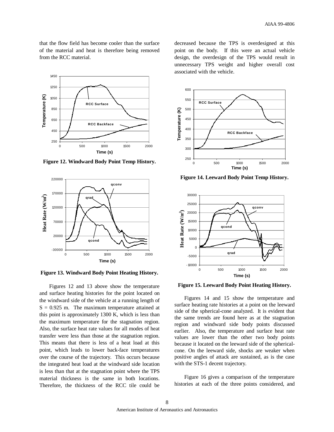that the flow field has become cooler than the surface of the material and heat is therefore being removed from the RCC material.



**Figure 12. Windward Body Point Temp History.**



**Figure 13. Windward Body Point Heating History.**

Figures 12 and 13 above show the temperature and surface heating histories for the point located on the windward side of the vehicle at a running length of  $S = 0.925$  m. The maximum temperature attained at this point is approximately 1300 K, which is less than the maximum temperature for the stagnation region. Also, the surface heat rate values for all modes of heat transfer were less than those at the stagnation region. This means that there is less of a heat load at this point, which leads to lower back-face temperatures over the course of the trajectory. This occurs because the integrated heat load at the windward side location is less than that at the stagnation point where the TPS material thickness is the same in both locations. Therefore, the thickness of the RCC tile could be

decreased because the TPS is overdesigned at this point on the body. If this were an actual vehicle design, the overdesign of the TPS would result in unnecessary TPS weight and higher overall cost associated with the vehicle.



**Figure 14. Leeward Body Point Temp History.**



**Figure 15. Leeward Body Point Heating History.**

Figures 14 and 15 show the temperature and surface heating rate histories at a point on the leeward side of the spherical-cone analyzed. It is evident that the same trends are found here as at the stagnation region and windward side body points discussed earlier. Also, the temperature and surface heat rate values are lower than the other two body points because it located on the leeward side of the sphericalcone. On the leeward side, shocks are weaker when positive angles of attack are sustained, as is the case with the STS-1 decent trajectory.

Figure 16 gives a comparison of the temperature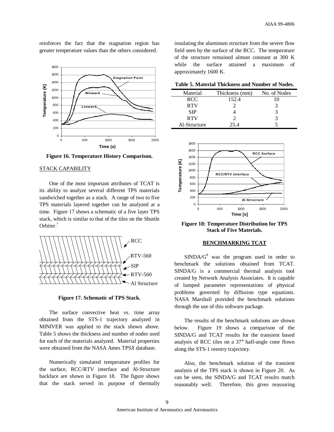reinforces the fact that the stagnation region has greater temperature values than the others considered.



**Figure 16. Temperature History Comparison.**

# STACK CAPABILITY

One of the most important attributes of TCAT is its ability to analyze several different TPS materials sandwiched together as a stack. A range of two to five TPS materials layered together can be analyzed at a time. Figure 17 shows a schematic of a five layer TPS stack, which is similar to that of the tiles on the Shuttle Orbiter.<sup>7</sup>



**Figure 17. Schematic of TPS Stack.**

The surface convective heat vs. time array obtained from the STS-1 trajectory analyzed in MINIVER was applied to the stack shown above. Table 5 shows the thickness and number of nodes used for each of the materials analyzed. Material properties were obtained from the NASA Ames TPS*X* database.

Numerically simulated temperature profiles for the surface, RCC/RTV interface and Al-Structure backface are shown in Figure 18. The figure shows that the stack served its purpose of thermally insulating the aluminum structure from the severe flow field seen by the surface of the RCC. The temperature of the structure remained almost constant at 300 K while the surface attained a maximum of approximately 1600 K.

| Table 5. Material Thickness and Number of Nodes. |  |  |
|--------------------------------------------------|--|--|
|--------------------------------------------------|--|--|

| Material     | Thickness (mm) | No. of Nodes |
|--------------|----------------|--------------|
| <b>RCC</b>   | 152.4          | 10           |
| <b>RTV</b>   |                |              |
| <b>SIP</b>   |                |              |
| <b>RTV</b>   |                |              |
| Al-Structure | 25 4           |              |



**Figure 18: Temperature Distribution for TPS Stack of Five Materials.**

## **BENCHMARKING TCAT**

 $SIMDA/G<sup>8</sup>$  was the program used in order to benchmark the solutions obtained from TCAT. SINDA/G is a commercial thermal analysis tool created by Network Analysis Associates. It is capable of lumped parameter representations of physical problems governed by diffusion type equations. NASA Marshall provided the benchmark solutions through the use of this software package.

The results of the benchmark solutions are shown below. Figure 19 shows a comparison of the SINDA/G and TCAT results for the transient based analysis of RCC tiles on a 37° half-angle cone flown along the STS-1 reentry trajectory.

Also, the benchmark solution of the transient analysis of the TPS stack is shown in Figure 20. As can be seen, the SINDA/G and TCAT results match reasonably well. Therefore, this gives reassuring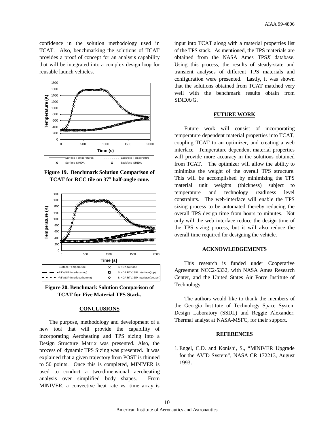confidence in the solution methodology used in TCAT. Also, benchmarking the solutions of TCAT provides a proof of concept for an analysis capability that will be integrated into a complex design loop for reusable launch vehicles.



**Figure 19. Benchmark Solution Comparison of TCAT for RCC tile on 37° half-angle cone.**





# **CONCLUSIONS**

The purpose, methodology and development of a new tool that will provide the capability of incorporating Aeroheating and TPS sizing into a Design Structure Matrix was presented. Also, the process of dynamic TPS Sizing was presented. It was explained that a given trajectory from POST is thinned to 50 points. Once this is completed, MINIVER is used to conduct a two-dimensional aeroheating analysis over simplified body shapes. From MINIVER, a convective heat rate vs. time array is

input into TCAT along with a material properties list of the TPS stack. As mentioned, the TPS materials are obtained from the NASA Ames TPS*X* database. Using this process, the results of steady-state and transient analyses of different TPS materials and configuration were presented. Lastly, it was shown that the solutions obtained from TCAT matched very well with the benchmark results obtain from SINDA/G.

# **FUTURE WORK**

Future work will consist of incorporating temperature dependent material properties into TCAT, coupling TCAT to an optimizer, and creating a web interface. Temperature dependent material properties will provide more accuracy in the solutions obtained from TCAT. The optimizer will allow the ability to minimize the weight of the overall TPS structure. This will be accomplished by minimizing the TPS material unit weights (thickness) subject to temperature and technology readiness level constraints. The web-interface will enable the TPS sizing process to be automated thereby reducing the overall TPS design time from hours to minutes. Not only will the web interface reduce the design time of the TPS sizing process, but it will also reduce the overall time required for designing the vehicle.

### **ACKNOWLEDGEMENTS**

This research is funded under Cooperative Agreement NCC2-5332, with NASA Ames Research Center, and the United States Air Force Institute of Technology.

The authors would like to thank the members of the Georgia Institute of Technology Space System Design Laboratory (SSDL) and Reggie Alexander, Thermal analyst at NASA-MSFC, for their support.

#### **REFERENCES**

1.Engel, C.D. and Konishi, S., "MINIVER Upgrade for the AVID System", NASA CR 172213, August 1993.